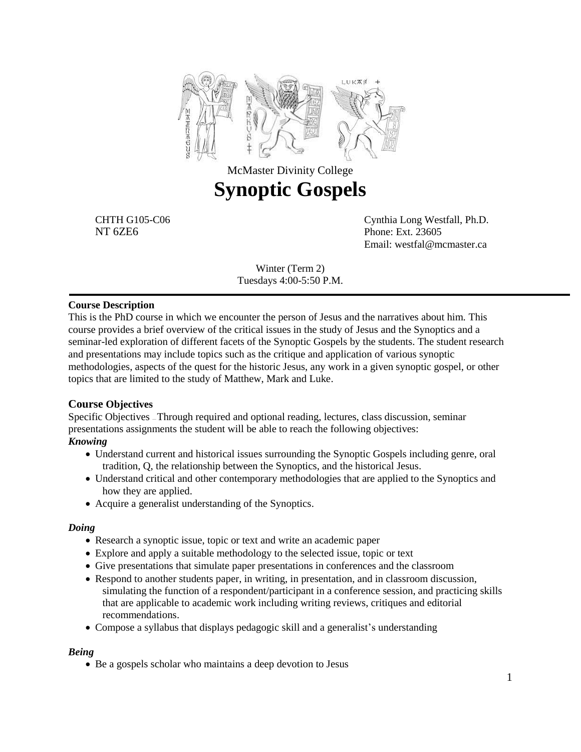

# McMaster Divinity College **Synoptic Gospels**

CHTH G105-C06 Cynthia Long Westfall, Ph.D. NT 6ZE6 Phone: Ext. 23605 Email: westfal@mcmaster.ca

> Winter (Term 2) Tuesdays 4:00-5:50 P.M.

### **Course Description**

This is the PhD course in which we encounter the person of Jesus and the narratives about him. This course provides a brief overview of the critical issues in the study of Jesus and the Synoptics and a seminar-led exploration of different facets of the Synoptic Gospels by the students. The student research and presentations may include topics such as the critique and application of various synoptic methodologies, aspects of the quest for the historic Jesus, any work in a given synoptic gospel, or other topics that are limited to the study of Matthew, Mark and Luke.

### **Course Objectives**

Specific Objectives — Through required and optional reading, lectures, class discussion, seminar presentations assignments the student will be able to reach the following objectives:

### *Knowing*

- Understand current and historical issues surrounding the Synoptic Gospels including genre, oral tradition, Q, the relationship between the Synoptics, and the historical Jesus.
- Understand critical and other contemporary methodologies that are applied to the Synoptics and how they are applied.
- Acquire a generalist understanding of the Synoptics.

### *Doing*

- Research a synoptic issue, topic or text and write an academic paper
- Explore and apply a suitable methodology to the selected issue, topic or text
- Give presentations that simulate paper presentations in conferences and the classroom
- Respond to another students paper, in writing, in presentation, and in classroom discussion, simulating the function of a respondent/participant in a conference session, and practicing skills that are applicable to academic work including writing reviews, critiques and editorial recommendations.
- Compose a syllabus that displays pedagogic skill and a generalist's understanding

#### *Being*

• Be a gospels scholar who maintains a deep devotion to Jesus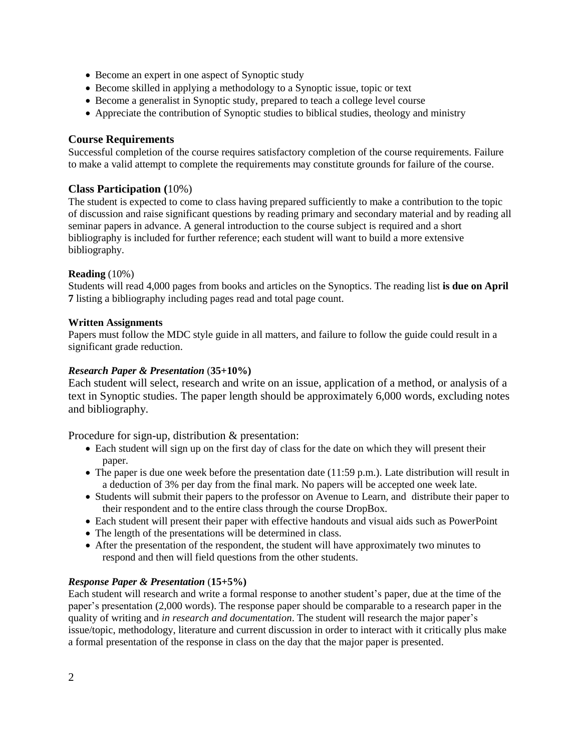- Become an expert in one aspect of Synoptic study
- Become skilled in applying a methodology to a Synoptic issue, topic or text
- Become a generalist in Synoptic study, prepared to teach a college level course
- Appreciate the contribution of Synoptic studies to biblical studies, theology and ministry

# **Course Requirements**

Successful completion of the course requires satisfactory completion of the course requirements. Failure to make a valid attempt to complete the requirements may constitute grounds for failure of the course.

# **Class Participation (**10%)

The student is expected to come to class having prepared sufficiently to make a contribution to the topic of discussion and raise significant questions by reading primary and secondary material and by reading all seminar papers in advance. A general introduction to the course subject is required and a short bibliography is included for further reference; each student will want to build a more extensive bibliography.

# **Reading** (10%)

Students will read 4,000 pages from books and articles on the Synoptics. The reading list **is due on April 7** listing a bibliography including pages read and total page count.

### **Written Assignments**

Papers must follow the MDC style guide in all matters, and failure to follow the guide could result in a significant grade reduction.

### *Research Paper & Presentation* (**35+10%)**

Each student will select, research and write on an issue, application of a method, or analysis of a text in Synoptic studies. The paper length should be approximately 6,000 words, excluding notes and bibliography.

Procedure for sign-up, distribution & presentation:

- Each student will sign up on the first day of class for the date on which they will present their paper.
- $\bullet$  The paper is due one week before the presentation date (11:59 p.m.). Late distribution will result in a deduction of 3% per day from the final mark. No papers will be accepted one week late.
- Students will submit their papers to the professor on Avenue to Learn, and distribute their paper to their respondent and to the entire class through the course DropBox.
- Each student will present their paper with effective handouts and visual aids such as PowerPoint
- The length of the presentations will be determined in class.
- After the presentation of the respondent, the student will have approximately two minutes to respond and then will field questions from the other students.

# *Response Paper & Presentation* (**15+5%)**

Each student will research and write a formal response to another student's paper, due at the time of the paper's presentation (2,000 words). The response paper should be comparable to a research paper in the quality of writing and *in research and documentation*. The student will research the major paper's issue/topic, methodology, literature and current discussion in order to interact with it critically plus make a formal presentation of the response in class on the day that the major paper is presented.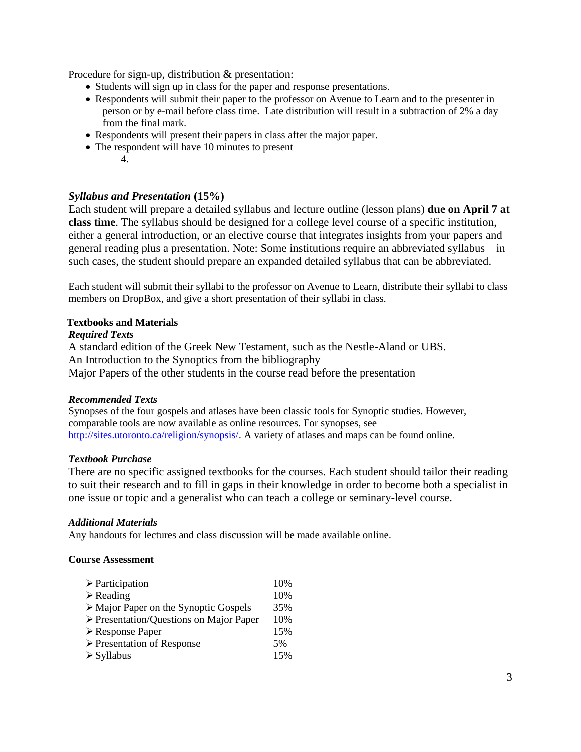Procedure for sign-up, distribution & presentation:

- Students will sign up in class for the paper and response presentations.
- Respondents will submit their paper to the professor on Avenue to Learn and to the presenter in person or by e-mail before class time. Late distribution will result in a subtraction of 2% a day from the final mark.
- Respondents will present their papers in class after the major paper.
- The respondent will have 10 minutes to present
	- 4.

# *Syllabus and Presentation* **(15%)**

Each student will prepare a detailed syllabus and lecture outline (lesson plans) **due on April 7 at class time**. The syllabus should be designed for a college level course of a specific institution, either a general introduction, or an elective course that integrates insights from your papers and general reading plus a presentation. Note: Some institutions require an abbreviated syllabus—in such cases, the student should prepare an expanded detailed syllabus that can be abbreviated.

Each student will submit their syllabi to the professor on Avenue to Learn, distribute their syllabi to class members on DropBox, and give a short presentation of their syllabi in class.

### **Textbooks and Materials**

### *Required Texts*

A standard edition of the Greek New Testament, such as the Nestle-Aland or UBS. An Introduction to the Synoptics from the bibliography Major Papers of the other students in the course read before the presentation

### *Recommended Texts*

Synopses of the four gospels and atlases have been classic tools for Synoptic studies. However, comparable tools are now available as online resources. For synopses, see [http://sites.utoronto.ca/religion/synopsis/.](http://sites.utoronto.ca/religion/synopsis/) A variety of atlases and maps can be found online.

### *Textbook Purchase*

There are no specific assigned textbooks for the courses. Each student should tailor their reading to suit their research and to fill in gaps in their knowledge in order to become both a specialist in one issue or topic and a generalist who can teach a college or seminary-level course.

### *Additional Materials*

Any handouts for lectures and class discussion will be made available online.

### **Course Assessment**

| $\triangleright$ Participation                         | 10% |
|--------------------------------------------------------|-----|
| $\triangleright$ Reading                               | 10% |
| $\triangleright$ Major Paper on the Synoptic Gospels   | 35% |
| $\triangleright$ Presentation/Questions on Major Paper | 10% |
| $\triangleright$ Response Paper                        | 15% |
| $\triangleright$ Presentation of Response              | 5%  |
| $\triangleright$ Syllabus                              | 15% |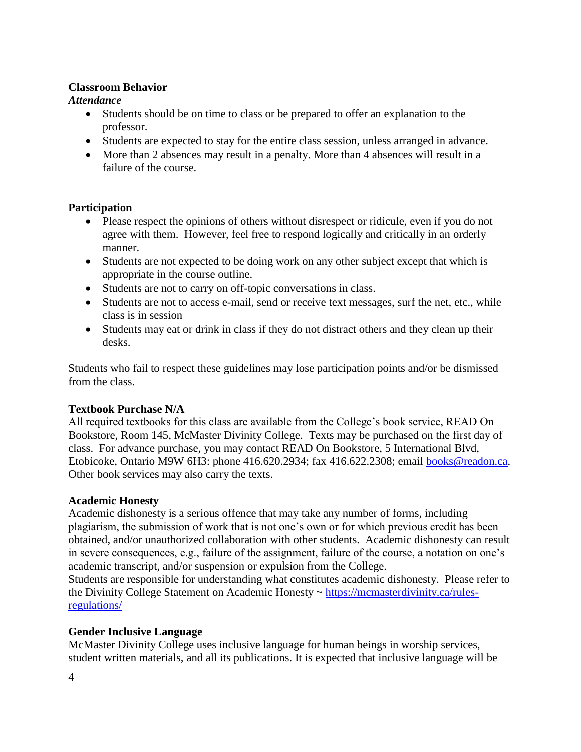# **Classroom Behavior**

# *Attendance*

- Students should be on time to class or be prepared to offer an explanation to the professor.
- Students are expected to stay for the entire class session, unless arranged in advance.
- More than 2 absences may result in a penalty. More than 4 absences will result in a failure of the course.

# **Participation**

- Please respect the opinions of others without disrespect or ridicule, even if you do not agree with them. However, feel free to respond logically and critically in an orderly manner.
- Students are not expected to be doing work on any other subject except that which is appropriate in the course outline.
- Students are not to carry on off-topic conversations in class.
- Students are not to access e-mail, send or receive text messages, surf the net, etc., while class is in session
- Students may eat or drink in class if they do not distract others and they clean up their desks.

Students who fail to respect these guidelines may lose participation points and/or be dismissed from the class.

# **Textbook Purchase N/A**

All required textbooks for this class are available from the College's book service, READ On Bookstore, Room 145, McMaster Divinity College. Texts may be purchased on the first day of class. For advance purchase, you may contact READ On Bookstore, 5 International Blvd, Etobicoke, Ontario M9W 6H3: phone 416.620.2934; fax 416.622.2308; email [books@readon.ca.](mailto:books@readon.ca) Other book services may also carry the texts.

# **Academic Honesty**

Academic dishonesty is a serious offence that may take any number of forms, including plagiarism, the submission of work that is not one's own or for which previous credit has been obtained, and/or unauthorized collaboration with other students. Academic dishonesty can result in severe consequences, e.g., failure of the assignment, failure of the course, a notation on one's academic transcript, and/or suspension or expulsion from the College.

Students are responsible for understanding what constitutes academic dishonesty. Please refer to the Divinity College Statement on Academic Honesty ~ [https://mcmasterdivinity.ca/rules](https://mcmasterdivinity.ca/rules-regulations/)[regulations/](https://mcmasterdivinity.ca/rules-regulations/)

# **Gender Inclusive Language**

McMaster Divinity College uses inclusive language for human beings in worship services, student written materials, and all its publications. It is expected that inclusive language will be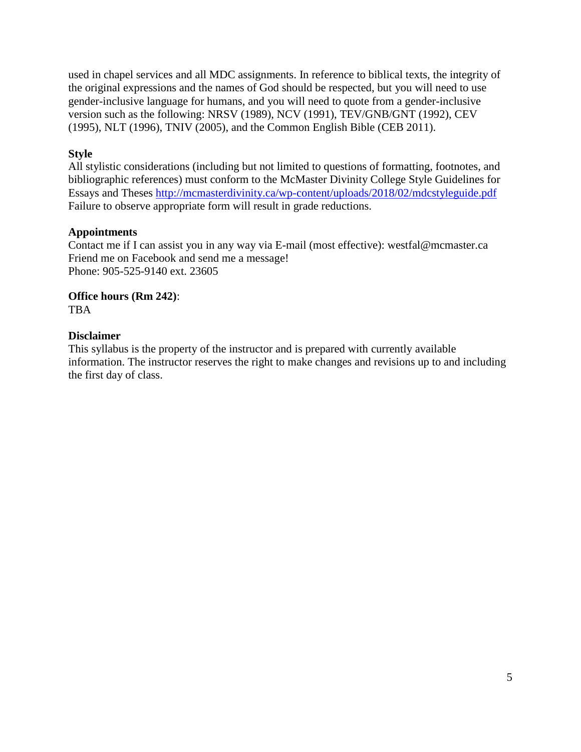used in chapel services and all MDC assignments. In reference to biblical texts, the integrity of the original expressions and the names of God should be respected, but you will need to use gender-inclusive language for humans, and you will need to quote from a gender-inclusive version such as the following: NRSV (1989), NCV (1991), TEV/GNB/GNT (1992), CEV (1995), NLT (1996), TNIV (2005), and the Common English Bible (CEB 2011).

# **Style**

All stylistic considerations (including but not limited to questions of formatting, footnotes, and bibliographic references) must conform to the McMaster Divinity College Style Guidelines for Essays and Theses http://mcmasterdivinity.ca/wp-content/uploads/2018/02/mdcstyleguide.pdf Failure to observe appropriate form will result in grade reductions.

# **Appointments**

Contact me if I can assist you in any way via E-mail (most effective): westfal@mcmaster.ca Friend me on Facebook and send me a message! Phone: 905-525-9140 ext. 23605

### **Office hours (Rm 242)**: TBA

# **Disclaimer**

This syllabus is the property of the instructor and is prepared with currently available information. The instructor reserves the right to make changes and revisions up to and including the first day of class.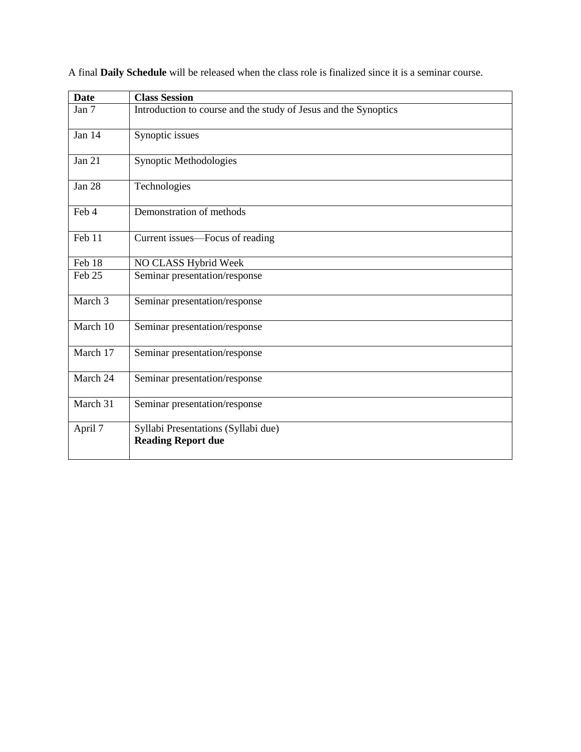| <b>Date</b> | <b>Class Session</b>                                            |
|-------------|-----------------------------------------------------------------|
| Jan 7       | Introduction to course and the study of Jesus and the Synoptics |
| Jan 14      | Synoptic issues                                                 |
| Jan 21      | Synoptic Methodologies                                          |
| Jan 28      | Technologies                                                    |
| Feb 4       | Demonstration of methods                                        |
| Feb 11      | Current issues—Focus of reading                                 |
| Feb 18      | NO CLASS Hybrid Week                                            |
| Feb 25      | Seminar presentation/response                                   |
| March 3     | Seminar presentation/response                                   |
| March 10    | Seminar presentation/response                                   |
| March 17    | Seminar presentation/response                                   |
| March 24    | Seminar presentation/response                                   |
| March 31    | Seminar presentation/response                                   |
| April 7     | Syllabi Presentations (Syllabi due)                             |
|             | <b>Reading Report due</b>                                       |

A final **Daily Schedule** will be released when the class role is finalized since it is a seminar course.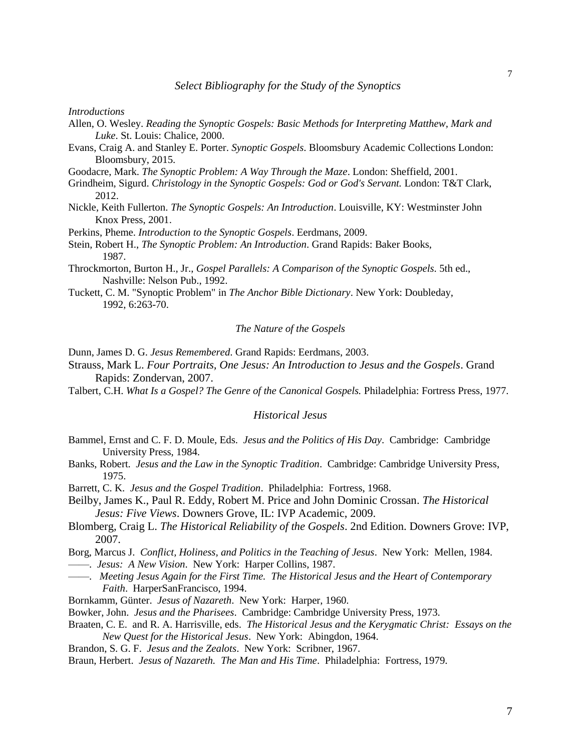*Introductions*

- Allen, O. Wesley. *Reading the Synoptic Gospels: Basic Methods for Interpreting Matthew, Mark and Luke*. St. Louis: Chalice, 2000.
- Evans, Craig A. and Stanley E. Porter. *Synoptic Gospels*. Bloomsbury Academic Collections London: Bloomsbury, 2015.
- Goodacre, Mark. *The Synoptic Problem: A Way Through the Maze*. London: Sheffield, 2001.
- Grindheim, Sigurd. *Christology in the Synoptic Gospels: God or God's Servant.* London: T&T Clark, 2012.
- Nickle, Keith Fullerton. *The Synoptic Gospels: An Introduction*. Louisville, KY: Westminster John Knox Press, 2001.

Perkins, Pheme. *Introduction to the Synoptic Gospels*. Eerdmans, 2009.

- Stein, Robert H., *The Synoptic Problem: An Introduction*. Grand Rapids: Baker Books, 1987.
- Throckmorton, Burton H., Jr., *Gospel Parallels: A Comparison of the Synoptic Gospels.* 5th ed., Nashville: Nelson Pub., 1992.
- Tuckett, C. M. "Synoptic Problem" in *The Anchor Bible Dictionary*. New York: Doubleday, 1992, 6:263-70.

#### *The Nature of the Gospels*

Dunn, James D. G. *Jesus Remembered*. Grand Rapids: Eerdmans, 2003.

- Strauss, Mark L. *Four Portraits, One Jesus: An Introduction to Jesus and the Gospels*. Grand Rapids: Zondervan, 2007.
- Talbert, C.H. *What Is a Gospel? The Genre of the Canonical Gospels.* Philadelphia: Fortress Press, 1977.

#### *Historical Jesus*

- Bammel, Ernst and C. F. D. Moule, Eds. *Jesus and the Politics of His Day*. Cambridge: Cambridge University Press, 1984.
- Banks, Robert. *Jesus and the Law in the Synoptic Tradition*. Cambridge: Cambridge University Press, 1975.
- Barrett, C. K. *Jesus and the Gospel Tradition*. Philadelphia: Fortress, 1968.
- Beilby, James K., Paul R. Eddy, Robert M. Price and John Dominic Crossan. *The Historical Jesus: Five Views*. Downers Grove, IL: IVP Academic, 2009.
- Blomberg, Craig L. *The Historical Reliability of the Gospels*. 2nd Edition. Downers Grove: IVP, 2007.
- Borg, Marcus J. *Conflict, Holiness, and Politics in the Teaching of Jesus*. New York: Mellen, 1984. ——. *Jesus: A New Vision*. New York: Harper Collins, 1987.
- ——. *Meeting Jesus Again for the First Time. The Historical Jesus and the Heart of Contemporary Faith*. HarperSanFrancisco, 1994.
- Bornkamm, Günter. *Jesus of Nazareth*. New York: Harper, 1960.
- Bowker, John. *Jesus and the Pharisees*. Cambridge: Cambridge University Press, 1973.
- Braaten, C. E. and R. A. Harrisville, eds. *The Historical Jesus and the Kerygmatic Christ: Essays on the New Quest for the Historical Jesus*. New York: Abingdon, 1964.
- Brandon, S. G. F. *Jesus and the Zealots*. New York: Scribner, 1967.
- Braun, Herbert. *Jesus of Nazareth. The Man and His Time*. Philadelphia: Fortress, 1979.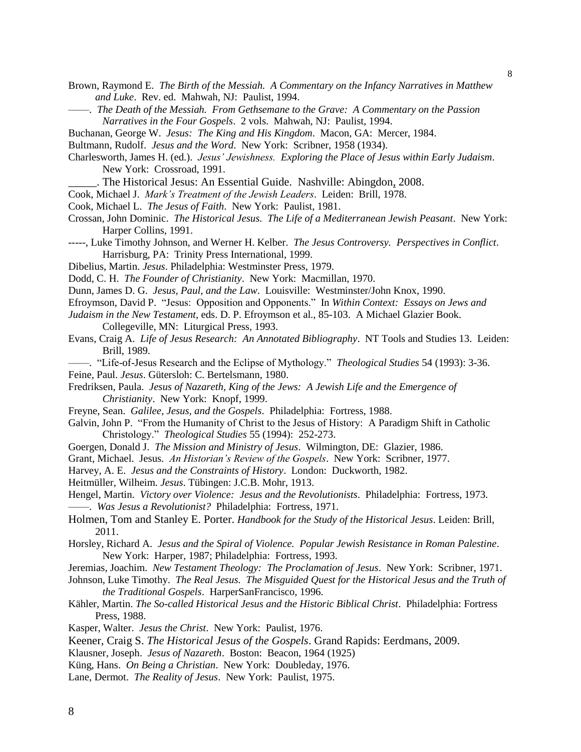Brown, Raymond E. *The Birth of the Messiah. A Commentary on the Infancy Narratives in Matthew and Luke*. Rev. ed. Mahwah, NJ: Paulist, 1994.

- ——. *The Death of the Messiah. From Gethsemane to the Grave: A Commentary on the Passion Narratives in the Four Gospels*. 2 vols. Mahwah, NJ: Paulist, 1994.
- Buchanan, George W. *Jesus: The King and His Kingdom*. Macon, GA: Mercer, 1984.
- Bultmann, Rudolf. *Jesus and the Word*. New York: Scribner, 1958 (1934).
- Charlesworth, James H. (ed.). *Jesus' Jewishness. Exploring the Place of Jesus within Early Judaism*. New York: Crossroad, 1991.
	- \_\_\_\_\_. The Historical Jesus: An Essential Guide. Nashville: Abingdon, 2008.
- Cook, Michael J. *Mark's Treatment of the Jewish Leaders*. Leiden: Brill, 1978.
- Cook, Michael L. *The Jesus of Faith*. New York: Paulist, 1981.
- Crossan, John Dominic. *The Historical Jesus. The Life of a Mediterranean Jewish Peasant*. New York: Harper Collins, 1991.
- -----, Luke Timothy Johnson, and Werner H. Kelber. *The Jesus Controversy. Perspectives in Conflict*. Harrisburg, PA: Trinity Press International, 1999.
- Dibelius, Martin. *Jesus*. Philadelphia: Westminster Press, 1979.
- Dodd, C. H. *The Founder of Christianity*. New York: Macmillan, 1970.
- Dunn, James D. G. *Jesus, Paul, and the Law*. Louisville: Westminster/John Knox, 1990.
- Efroymson, David P. "Jesus: Opposition and Opponents." In *Within Context: Essays on Jews and*
- *Judaism in the New Testament*, eds. D. P. Efroymson et al., 85-103. A Michael Glazier Book. Collegeville, MN: Liturgical Press, 1993.
- Evans, Craig A. *Life of Jesus Research: An Annotated Bibliography*. NT Tools and Studies 13. Leiden: Brill, 1989.
- ——. "Life-of-Jesus Research and the Eclipse of Mythology." *Theological Studies* 54 (1993): 3-36. Feine, Paul. *Jesus*. Gütersloh: C. Bertelsmann, 1980.
- Fredriksen, Paula. *Jesus of Nazareth, King of the Jews: A Jewish Life and the Emergence of Christianity*. New York: Knopf, 1999.
- Freyne, Sean. *Galilee, Jesus, and the Gospels*. Philadelphia: Fortress, 1988.
- Galvin, John P. "From the Humanity of Christ to the Jesus of History: A Paradigm Shift in Catholic Christology." *Theological Studies* 55 (1994): 252-273.
- Goergen, Donald J. *The Mission and Ministry of Jesus*. Wilmington, DE: Glazier, 1986.
- Grant, Michael. Jesus. *An Historian's Review of the Gospels*. New York: Scribner, 1977.
- Harvey, A. E. *Jesus and the Constraints of History*. London: Duckworth, 1982.
- Heitmüller, Wilheim. *Jesus*. Tübingen: J.C.B. Mohr, 1913.
- Hengel, Martin. *Victory over Violence: Jesus and the Revolutionists*. Philadelphia: Fortress, 1973. ——. *Was Jesus a Revolutionist?* Philadelphia: Fortress, 1971.
- Holmen, Tom and Stanley E. Porter. *[Handbook for the Study of the Historical Jesus](http://www.amazon.com/Handbook-Study-Historical-Jesus-Holmen/dp/9004163727/ref=sr_1_1?s=books&ie=UTF8&qid=1305606095&sr=1-1)*. Leiden: Brill, 2011.
- Horsley, Richard A. *Jesus and the Spiral of Violence. Popular Jewish Resistance in Roman Palestine*. New York: Harper, 1987; Philadelphia: Fortress, 1993.
- Jeremias, Joachim. *New Testament Theology: The Proclamation of Jesus*. New York: Scribner, 1971.
- Johnson, Luke Timothy. *The Real Jesus. The Misguided Quest for the Historical Jesus and the Truth of the Traditional Gospels*. HarperSanFrancisco, 1996.
- Kähler, Martin. *The So-called Historical Jesus and the Historic Biblical Christ*. Philadelphia: Fortress Press, 1988.
- Kasper, Walter. *Jesus the Christ*. New York: Paulist, 1976.
- Keener, Craig S. *The Historical Jesus of the Gospels*. Grand Rapids: Eerdmans, 2009.
- Klausner, Joseph. *Jesus of Nazareth*. Boston: Beacon, 1964 (1925)
- Küng, Hans. *On Being a Christian*. New York: Doubleday, 1976.
- Lane, Dermot. *The Reality of Jesus*. New York: Paulist, 1975.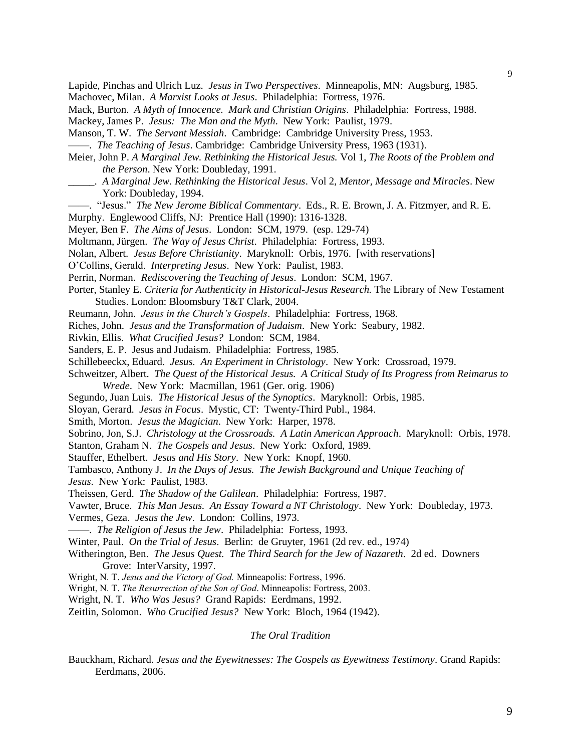Lapide, Pinchas and Ulrich Luz. *Jesus in Two Perspectives*. Minneapolis, MN: Augsburg, 1985. Machovec, Milan. *A Marxist Looks at Jesus*. Philadelphia: Fortress, 1976.

Mack, Burton. *A Myth of Innocence. Mark and Christian Origins*. Philadelphia: Fortress, 1988.

Mackey, James P. *Jesus: The Man and the Myth*. New York: Paulist, 1979.

Manson, T. W. *The Servant Messiah*. Cambridge: Cambridge University Press, 1953.

——. *The Teaching of Jesus*. Cambridge: Cambridge University Press, 1963 (1931).

- Meier, John P. *A Marginal Jew. Rethinking the Historical Jesus.* Vol 1, *The Roots of the Problem and the Person*. New York: Doubleday, 1991.
- \_\_\_\_\_. *A Marginal Jew. Rethinking the Historical Jesus*. Vol 2, *Mentor, Message and Miracles*. New York: Doubleday, 1994.
- ——. "Jesus." *The New Jerome Biblical Commentary*. Eds., R. E. Brown, J. A. Fitzmyer, and R. E.

Murphy. Englewood Cliffs, NJ: Prentice Hall (1990): 1316-1328.

Meyer, Ben F. *The Aims of Jesus*. London: SCM, 1979. (esp. 129-74)

Moltmann, Jürgen. *The Way of Jesus Christ*. Philadelphia: Fortress, 1993.

Nolan, Albert. *Jesus Before Christianity*. Maryknoll: Orbis, 1976. [with reservations]

O'Collins, Gerald. *Interpreting Jesus*. New York: Paulist, 1983.

Perrin, Norman. *Rediscovering the Teaching of Jesus*. London: SCM, 1967.

- Porter, Stanley E. *Criteria for Authenticity in Historical-Jesus Research*. The Library of New Testament Studies. London: Bloomsbury T&T Clark, 2004.
- Reumann, John. *Jesus in the Church's Gospels*. Philadelphia: Fortress, 1968.

Riches, John. *Jesus and the Transformation of Judaism*. New York: Seabury, 1982.

Rivkin, Ellis. *What Crucified Jesus?* London: SCM, 1984.

Sanders, E. P. Jesus and Judaism. Philadelphia: Fortress, 1985.

Schillebeeckx, Eduard. *Jesus. An Experiment in Christology*. New York: Crossroad, 1979.

Schweitzer, Albert. *The Quest of the Historical Jesus. A Critical Study of Its Progress from Reimarus to Wrede*. New York: Macmillan, 1961 (Ger. orig. 1906)

Segundo, Juan Luis. *The Historical Jesus of the Synoptics*. Maryknoll: Orbis, 1985.

Sloyan, Gerard. *Jesus in Focus*. Mystic, CT: Twenty-Third Publ., 1984.

Smith, Morton. *Jesus the Magician*. New York: Harper, 1978.

Sobrino, Jon, S.J. *Christology at the Crossroads. A Latin American Approach*. Maryknoll: Orbis, 1978.

Stanton, Graham N. *The Gospels and Jesus*. New York: Oxford, 1989.

Stauffer, Ethelbert. *Jesus and His Story*. New York: Knopf, 1960.

Tambasco, Anthony J. *In the Days of Jesus. The Jewish Background and Unique Teaching of* 

*Jesus*. New York: Paulist, 1983.

Theissen, Gerd. *The Shadow of the Galilean*. Philadelphia: Fortress, 1987.

Vawter, Bruce. *This Man Jesus. An Essay Toward a NT Christology*. New York: Doubleday, 1973.

Vermes, Geza. *Jesus the Jew*. London: Collins, 1973.

——. *The Religion of Jesus the Jew*. Philadelphia: Fortess, 1993.

Winter, Paul. *On the Trial of Jesus*. Berlin: de Gruyter, 1961 (2d rev. ed., 1974)

Witherington, Ben. *The Jesus Quest. The Third Search for the Jew of Nazareth*. 2d ed. Downers Grove: InterVarsity, 1997.

Wright, N. T. *Jesus and the Victory of God.* Minneapolis: Fortress, 1996.

Wright, N. T. *The Resurrection of the Son of God*. Minneapolis: Fortress, 2003.

Wright, N. T. *Who Was Jesus?* Grand Rapids: Eerdmans, 1992.

Zeitlin, Solomon. *Who Crucified Jesus?* New York: Bloch, 1964 (1942).

#### *The Oral Tradition*

Bauckham, Richard. *Jesus and the Eyewitnesses: The Gospels as Eyewitness Testimony*. Grand Rapids: Eerdmans, 2006.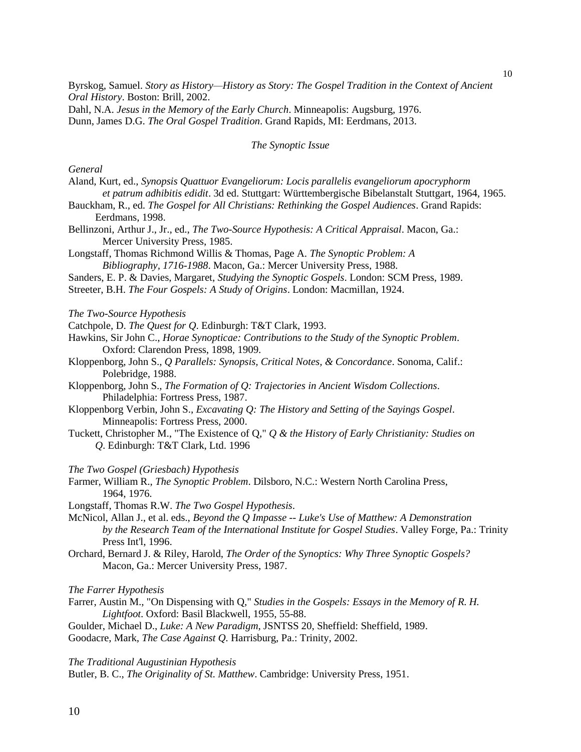Byrskog, Samuel. *Story as History—History as Story: The Gospel Tradition in the Context of Ancient Oral History*. Boston: Brill, 2002.

Dahl, N.A. *Jesus in the Memory of the Early Church*. Minneapolis: Augsburg, 1976. Dunn, James D.G. *The Oral Gospel Tradition*. Grand Rapids, MI: Eerdmans, 2013.

#### *The Synoptic Issue*

*General*

- Aland, Kurt, ed., *Synopsis Quattuor Evangeliorum: Locis parallelis evangeliorum apocryphorm et patrum adhibitis edidit*. 3d ed. Stuttgart: Württembergische Bibelanstalt Stuttgart, 1964, 1965.
- Bauckham, R., ed. *The Gospel for All Christians: Rethinking the Gospel Audiences*. Grand Rapids: Eerdmans, 1998.
- Bellinzoni, Arthur J., Jr., ed., *The Two-Source Hypothesis: A Critical Appraisal*. Macon, Ga.: Mercer University Press, 1985.
- Longstaff, Thomas Richmond Willis & Thomas, Page A. *The Synoptic Problem: A Bibliography, 1716-1988*. Macon, Ga.: Mercer University Press, 1988.
- Sanders, E. P. & Davies, Margaret, *Studying the Synoptic Gospels*. London: SCM Press, 1989.
- Streeter, B.H. *The Four Gospels: A Study of Origins*. London: Macmillan, 1924.

#### *The Two-Source Hypothesis*

- Catchpole, D. *The Quest for Q*. Edinburgh: T&T Clark, 1993.
- Hawkins, Sir John C., *Horae Synopticae: Contributions to the Study of the Synoptic Problem*. Oxford: Clarendon Press, 1898, 1909.
- Kloppenborg, John S., *Q Parallels: Synopsis, Critical Notes, & Concordance*. Sonoma, Calif.: Polebridge, 1988.
- Kloppenborg, John S., *The Formation of Q: Trajectories in Ancient Wisdom Collections*. Philadelphia: Fortress Press, 1987.
- Kloppenborg Verbin, John S., *Excavating Q: The History and Setting of the Sayings Gospel*. Minneapolis: Fortress Press, 2000.
- Tuckett, Christopher M., "The Existence of Q," *Q & the History of Early Christianity: Studies on Q*. Edinburgh: T&T Clark, Ltd. 1996
- *The Two Gospel (Griesbach) Hypothesis*
- Farmer, William R., *The Synoptic Problem*. Dilsboro, N.C.: Western North Carolina Press, 1964, 1976.
- Longstaff, Thomas R.W. *The Two Gospel Hypothesis*.
- McNicol, Allan J., et al. eds., *Beyond the Q Impasse -- Luke's Use of Matthew: A Demonstration by the Research Team of the International Institute for Gospel Studies*. Valley Forge, Pa.: Trinity Press Int'l, 1996.
- Orchard, Bernard J. & Riley, Harold, *The Order of the Synoptics: Why Three Synoptic Gospels?* Macon, Ga.: Mercer University Press, 1987.

*The Farrer Hypothesis*

- Farrer, Austin M., "On Dispensing with Q," *Studies in the Gospels: Essays in the Memory of R. H. Lightfoot*. Oxford: Basil Blackwell, 1955, 55-88.
- Goulder, Michael D., *Luke: A New Paradigm*, JSNTSS 20, Sheffield: Sheffield, 1989. Goodacre, Mark, *The Case Against Q.* Harrisburg, Pa.: Trinity, 2002.

*The Traditional Augustinian Hypothesis*

Butler, B. C., *The Originality of St. Matthew*. Cambridge: University Press, 1951.